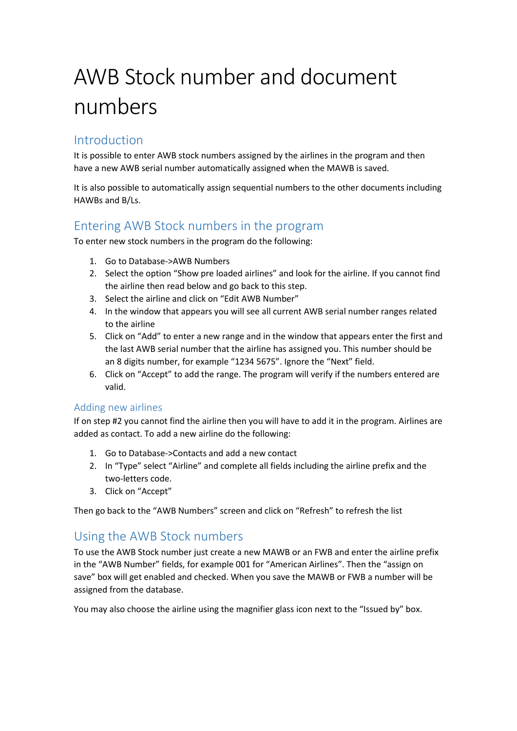# AWB Stock number and document numbers

# Introduction

It is possible to enter AWB stock numbers assigned by the airlines in the program and then have a new AWB serial number automatically assigned when the MAWB is saved.

It is also possible to automatically assign sequential numbers to the other documents including HAWBs and B/Ls.

# Entering AWB Stock numbers in the program

To enter new stock numbers in the program do the following:

- 1. Go to Database->AWB Numbers
- 2. Select the option "Show pre loaded airlines" and look for the airline. If you cannot find the airline then read below and go back to this step.
- 3. Select the airline and click on "Edit AWB Number"
- 4. In the window that appears you will see all current AWB serial number ranges related to the airline
- 5. Click on "Add" to enter a new range and in the window that appears enter the first and the last AWB serial number that the airline has assigned you. This number should be an 8 digits number, for example "1234 5675". Ignore the "Next" field.
- 6. Click on "Accept" to add the range. The program will verify if the numbers entered are valid.

#### Adding new airlines

If on step #2 you cannot find the airline then you will have to add it in the program. Airlines are added as contact. To add a new airline do the following:

- 1. Go to Database->Contacts and add a new contact
- 2. In "Type" select "Airline" and complete all fields including the airline prefix and the two-letters code.
- 3. Click on "Accept"

Then go back to the "AWB Numbers" screen and click on "Refresh" to refresh the list

### Using the AWB Stock numbers

To use the AWB Stock number just create a new MAWB or an FWB and enter the airline prefix in the "AWB Number" fields, for example 001 for "American Airlines". Then the "assign on save" box will get enabled and checked. When you save the MAWB or FWB a number will be assigned from the database.

You may also choose the airline using the magnifier glass icon next to the "Issued by" box.